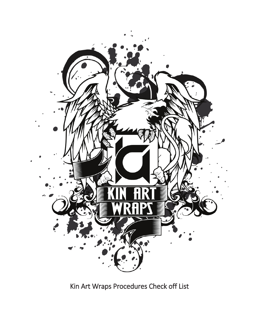

Kin Art Wraps Procedures Check off List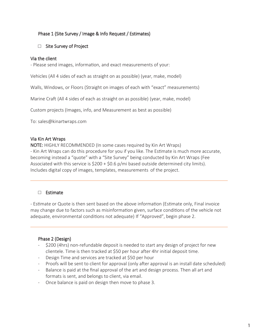# Phase 1 (Site Survey / Image & Info Request / Estimates)

## □ Site Survey of Project

### Via the client

- Please send images, information, and exact measurements of your:

Vehicles (All 4 sides of each as straight on as possible) (year, make, model)

Walls, Windows, or Floors (Straight on images of each with "exact" measurements)

Marine Craft (All 4 sides of each as straight on as possible) (year, make, model)

Custom projects (Images, info, and Measurement as best as possible)

To: sales@kinartwraps.com

### Via Kin Art Wraps

NOTE: HIGHLY RECOMMENDED (In some cases required by Kin Art Wraps) - Kin Art Wraps can do this procedure for you if you like. The Estimate is much more accurate, becoming instead a "quote" with a "Site Survey" being conducted by Kin Art Wraps (Fee Associated with this service is  $$200 + $0.6$  p/mi based outside determined city limits). Includes digital copy of images, templates, measurements of the project.

## □ Estimate

- Estimate or Quote is then sent based on the above information (Estimate only, Final invoice may change due to factors such as misinformation given, surface conditions of the vehicle not adequate, environmental conditions not adequate) If "Approved", begin phase 2.

## Phase 2 (Design)

- \$200 (4hrs) non-refundable deposit is needed to start any design of project for new clientele. Time is then tracked at \$50 per hour after 4hr initial deposit time.
- Design Time and services are tracked at \$50 per hour
- Proofs will be sent to client for approval (only after approval is an install date scheduled)
- Balance is paid at the final approval of the art and design process. Then all art and formats is sent, and belongs to client, via email.
- Once balance is paid on design then move to phase 3.